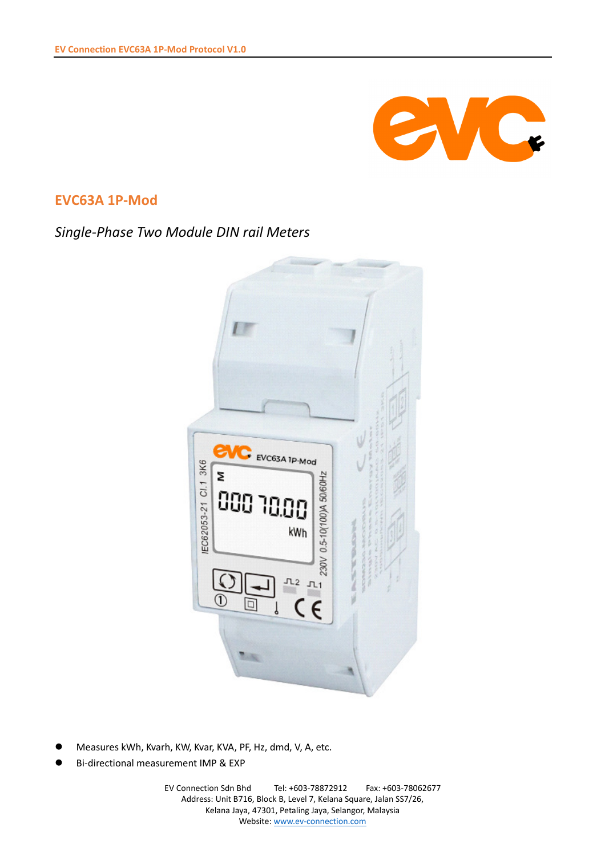

## **EVC63A 1P-Mod**

## *Single-Phase Two Module DIN rail Meters*



- Measures kWh, Kvarh, KW, Kvar, KVA, PF, Hz, dmd, V, A, etc.
- Bi-directional measurement IMP & EXP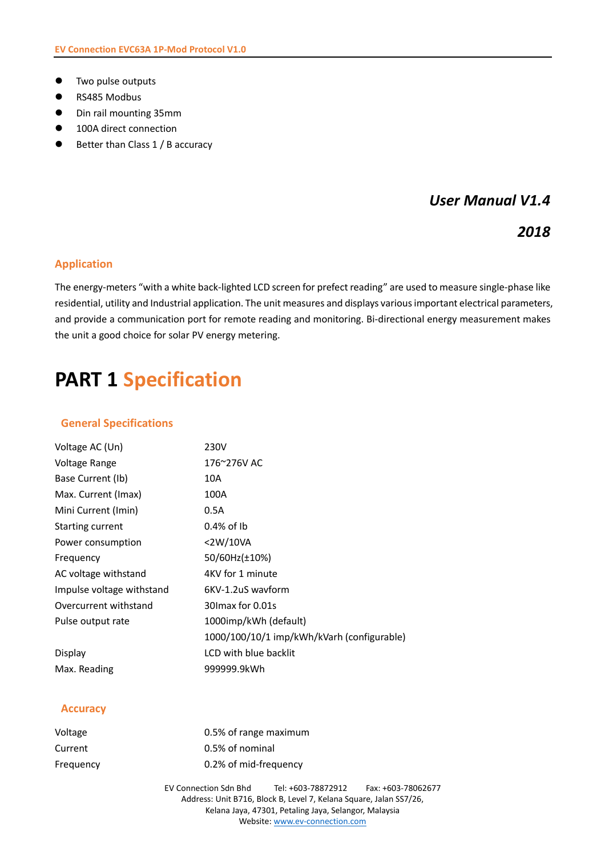- **•** Two pulse outputs
- RS485 Modbus
- Din rail mounting 35mm
- **100A direct connection**
- Better than Class 1 / B accuracy

## *User Manual V1.4*

### *2018*

#### **Application**

The energy-meters "with a white back-lighted LCD screen for prefect reading" are used to measure single-phase like residential, utility and Industrial application. The unit measures and displays various important electrical parameters, and provide a communication port for remote reading and monitoring. Bi-directional energy measurement makes the unit a good choice for solar PV energy metering.

## **PART 1 Specification**

#### **General Specifications**

| Voltage AC (Un)           | 230V                                       |
|---------------------------|--------------------------------------------|
| Voltage Range             | 176~276V AC                                |
| Base Current (Ib)         | 10A                                        |
| Max. Current (Imax)       | 100A                                       |
| Mini Current (Imin)       | 0.5A                                       |
| Starting current          | $0.4\%$ of Ib                              |
| Power consumption         | <2W/10VA                                   |
| Frequency                 | 50/60Hz(±10%)                              |
| AC voltage withstand      | 4KV for 1 minute                           |
| Impulse voltage withstand | 6KV-1.2uS wavform                          |
| Overcurrent withstand     | 30 max for 0.01s                           |
| Pulse output rate         | 1000imp/kWh (default)                      |
|                           | 1000/100/10/1 imp/kWh/kVarh (configurable) |
| Display                   | LCD with blue backlit                      |
| Max. Reading              | 999999.9kWh                                |

#### **Accuracy**

| Voltage   |
|-----------|
| Current   |
| Frequency |

0.5% of range maximum 0.5% of nominal 0.2% of mid-frequency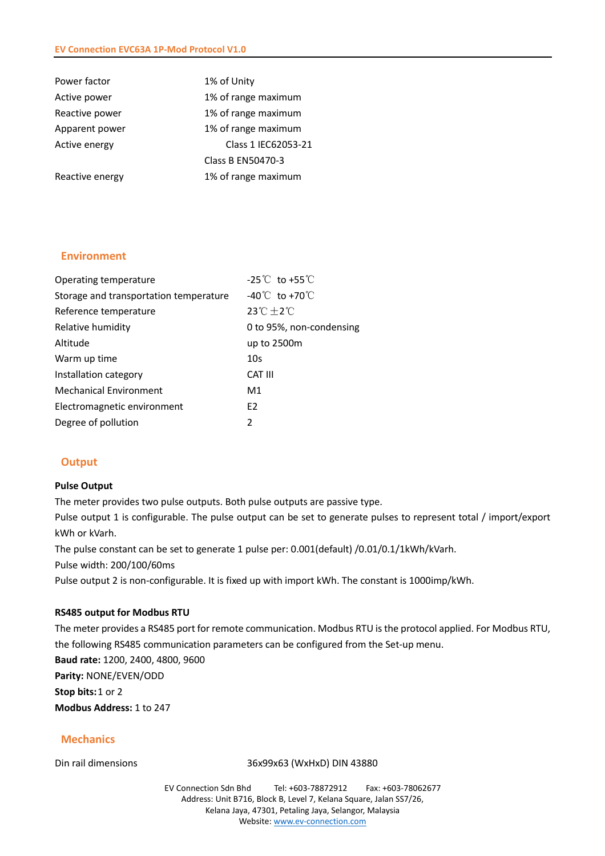| Power factor    | 1% of Unity         |
|-----------------|---------------------|
| Active power    | 1% of range maximum |
| Reactive power  | 1% of range maximum |
| Apparent power  | 1% of range maximum |
| Active energy   | Class 1 IEC62053-21 |
|                 | Class B EN50470-3   |
| Reactive energy | 1% of range maximum |

#### **Environment**

| Operating temperature                  | $-25^{\circ}$ to $+55^{\circ}$           |
|----------------------------------------|------------------------------------------|
| Storage and transportation temperature | $-40^{\circ}$ to $+70^{\circ}$           |
| Reference temperature                  | $23^\circ \text{C} \pm 2^\circ \text{C}$ |
| Relative humidity                      | 0 to 95%, non-condensing                 |
| Altitude                               | up to 2500m                              |
| Warm up time                           | 10 <sub>s</sub>                          |
| Installation category                  | CAT III                                  |
| <b>Mechanical Environment</b>          | M1                                       |
| Electromagnetic environment            | F <sub>2</sub>                           |
| Degree of pollution                    | $\mathcal{P}$                            |

#### **Output**

#### **Pulse Output**

The meter provides two pulse outputs. Both pulse outputs are passive type. Pulse output 1 is configurable. The pulse output can be set to generate pulses to represent total / import/export kWh or kVarh.

The pulse constant can be set to generate 1 pulse per: 0.001(default) /0.01/0.1/1kWh/kVarh.

Pulse width: 200/100/60ms

Pulse output 2 is non-configurable. It is fixed up with import kWh. The constant is 1000imp/kWh.

#### **RS485 output for Modbus RTU**

The meter provides a RS485 port for remote communication. Modbus RTU is the protocol applied. For Modbus RTU, the following RS485 communication parameters can be configured from the Set-up menu. **Baud rate:** 1200, 2400, 4800, 9600 **Parity:** NONE/EVEN/ODD **Stop bits: 1 or 2 Modbus Address:** 1 to 247

#### **Mechanics**

Din rail dimensions 36x99x63 (WxHxD) DIN 43880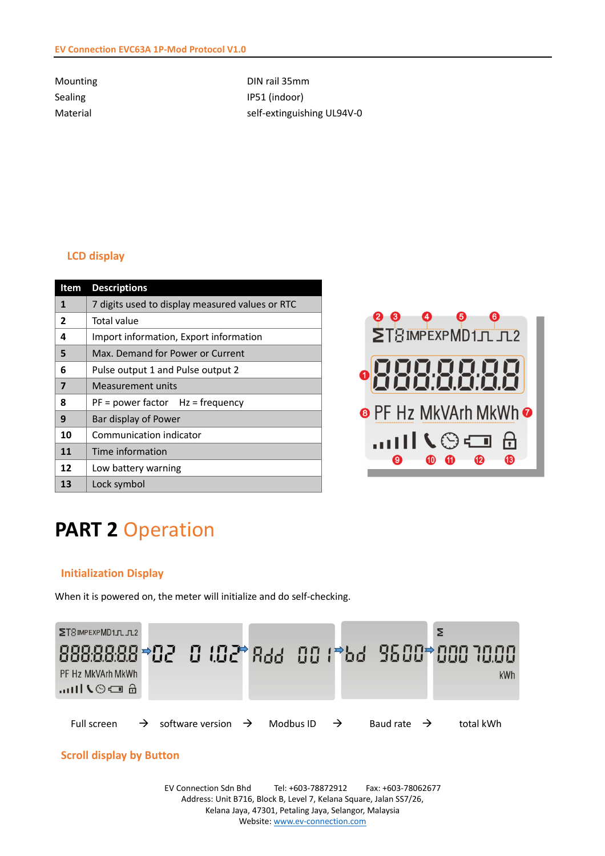| Mounting |
|----------|
| Sealing  |
| Material |

DIN rail 35mm IP51 (indoor) self-extinguishing UL94V-0

#### **LCD display**

| Item | <b>Descriptions</b>                             |  |
|------|-------------------------------------------------|--|
| 1    | 7 digits used to display measured values or RTC |  |
| 2    | Total value                                     |  |
| 4    | Import information, Export information          |  |
| 5    | Max. Demand for Power or Current                |  |
| 6    | Pulse output 1 and Pulse output 2               |  |
| 7    | Measurement units                               |  |
| 8    | $PF = power factor$ Hz = frequency              |  |
| 9    | Bar display of Power                            |  |
| 10   | Communication indicator                         |  |
| 11   | Time information                                |  |
| 12   | Low battery warning                             |  |
| 13   | Lock symbol                                     |  |



# **PART 2** Operation

#### **Initialization Display**

When it is powered on, the meter will initialize and do self-checking.



#### **Scroll display by Button**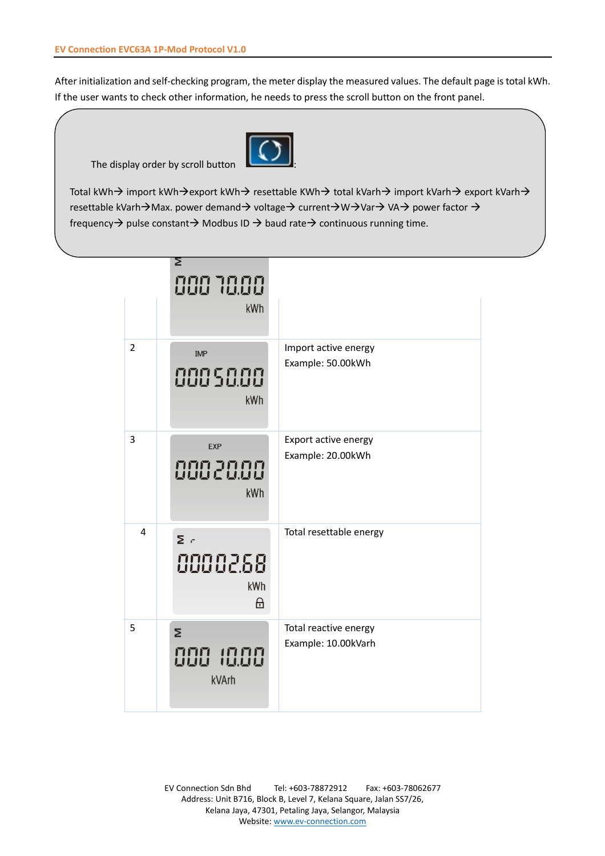After initialization and self-checking program, the meter display the measured values. The default page is total kWh. If the user wants to check other information, he needs to press the scroll button on the front panel.

 $T_{\rm eff}$  display order but the display order but the display order but the display of  $T_{\rm eff}$ The display order by scroll button



rotal kWh  $\geq$  import kWh  $\geq$  caport kWh  $\geq$  resettable kWh  $\geq$  total kVarh  $\geq$  miport kVarh  $\geq$  capital current  $\Rightarrow$  miport kVarh  $\geq$  capital current  $\Rightarrow$  miport kVarh  $\Rightarrow$  capital current  $\Rightarrow$  miport kVarh  $\frac{1}{\sqrt{2}}$  and  $\frac{1}{\sqrt{2}}$  power demand  $\frac{1}{\sqrt{2}}$  voltage  $\frac{1}{\sqrt{2}}$  current  $\frac{1}{\sqrt{2}}$  var  $\frac{1}{\sqrt{2}}$  power factorization  $\frac{1}{\sqrt{2}}$ Total kWh $\rightarrow$  import kWh $\rightarrow$ export kWh $\rightarrow$  resettable KWh $\rightarrow$  total kVarh $\rightarrow$  import kVarh $\rightarrow$  export kVarh $\rightarrow$ frequency  $\rightarrow$  pulse constant  $\rightarrow$  Modbus ID  $\rightarrow$  baud rate  $\rightarrow$  continuous running time.

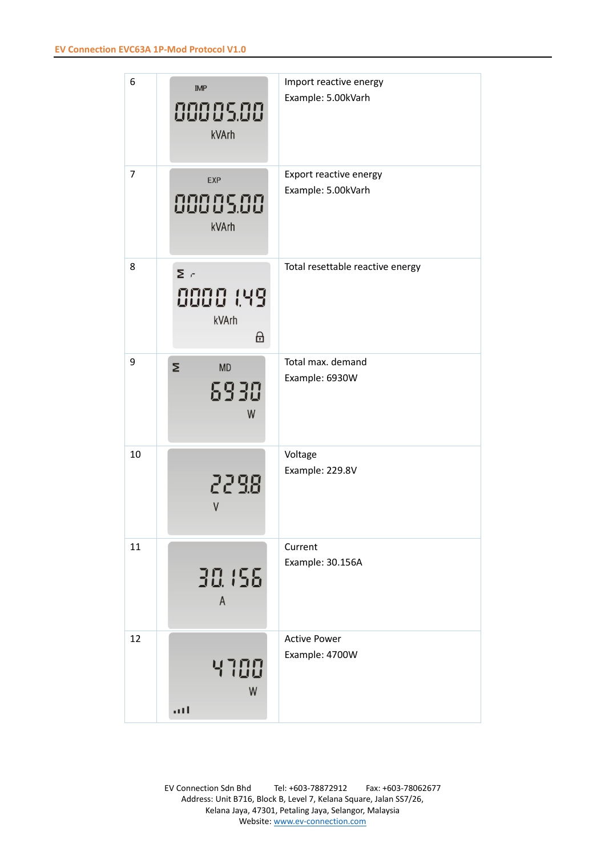| 6              | <b>IMP</b><br>00005.00<br>kVArh    | Import reactive energy<br>Example: 5.00kVarh |
|----------------|------------------------------------|----------------------------------------------|
| $\overline{7}$ | <b>EXP</b><br>88885.88<br>kVArh    | Export reactive energy<br>Example: 5.00kVarh |
| 8              | $\Sigma$<br>0000 149<br>kVArh<br>⊕ | Total resettable reactive energy             |
| 9              | Σ<br><b>MD</b><br>5930<br>W        | Total max. demand<br>Example: 6930W          |
| 10             | 2298                               | Voltage<br>Example: 229.8V                   |
| 11             | 30.155<br>$\overline{A}$           | Current<br>Example: 30.156A                  |
| 12             | 4 100<br>W<br>a i I                | <b>Active Power</b><br>Example: 4700W        |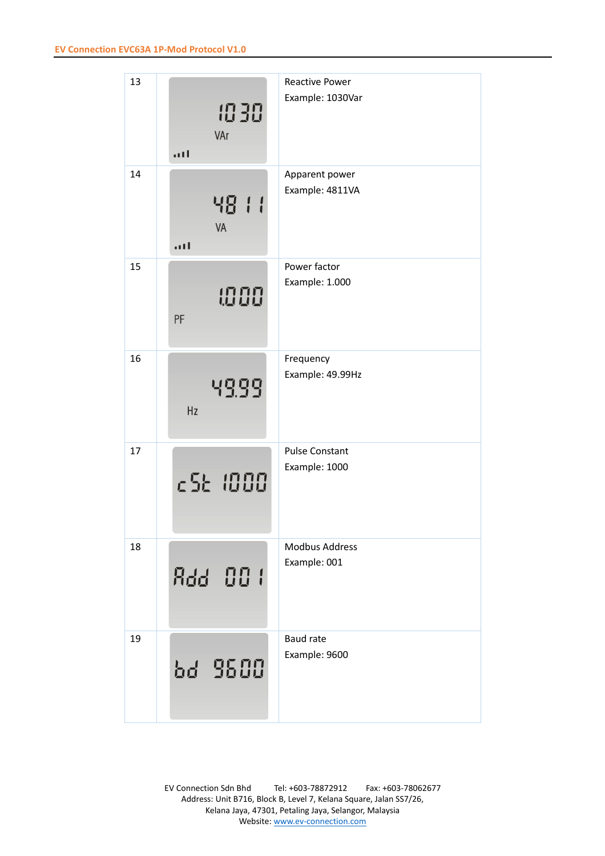| 13 |                | <b>Reactive Power</b>                  |
|----|----------------|----------------------------------------|
|    |                | Example: 1030Var                       |
|    | 1030           |                                        |
|    | VAr            |                                        |
|    | a H            |                                        |
| 14 |                | Apparent power                         |
|    |                | Example: 4811VA                        |
|    | 98 11          |                                        |
|    | VA             |                                        |
|    | a H            |                                        |
| 15 |                | Power factor                           |
|    |                | Example: 1.000                         |
|    | 1000           |                                        |
|    | PF             |                                        |
|    |                |                                        |
| 16 |                | Frequency                              |
|    | 49.99          | Example: 49.99Hz                       |
|    |                |                                        |
|    | Hz             |                                        |
|    |                |                                        |
| 17 |                | <b>Pulse Constant</b><br>Example: 1000 |
|    | c5E 1000       |                                        |
|    |                |                                        |
|    |                |                                        |
| 18 |                | <b>Modbus Address</b>                  |
|    |                | Example: 001                           |
|    | <b>Rdd 88:</b> |                                        |
|    |                |                                        |
|    |                |                                        |
| 19 |                | <b>Baud rate</b>                       |
|    |                | Example: 9600                          |
|    | bd 9500        |                                        |
|    |                |                                        |
|    |                |                                        |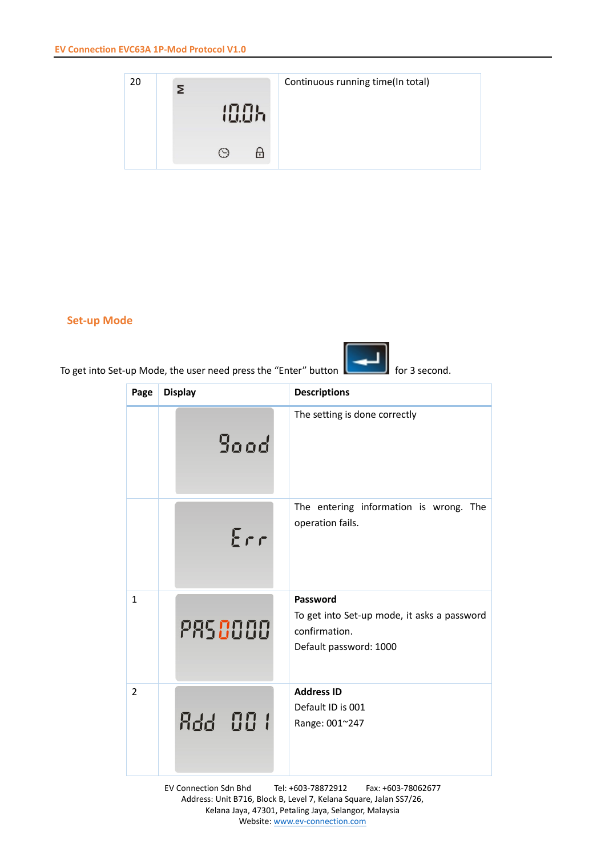

#### **Set-up Mode**

To get into Set-up Mode, the user need press the "Enter" button for 3 second.



| Page           | <b>Display</b> | <b>Descriptions</b>                                                                                |
|----------------|----------------|----------------------------------------------------------------------------------------------------|
|                | Sood           | The setting is done correctly                                                                      |
|                | Err            | The entering information is wrong. The<br>operation fails.                                         |
| $\mathbf{1}$   | PRS 0000       | Password<br>To get into Set-up mode, it asks a password<br>confirmation.<br>Default password: 1000 |
| $\overline{2}$ | Rdd 00 l       | <b>Address ID</b><br>Default ID is 001<br>Range: 001~247                                           |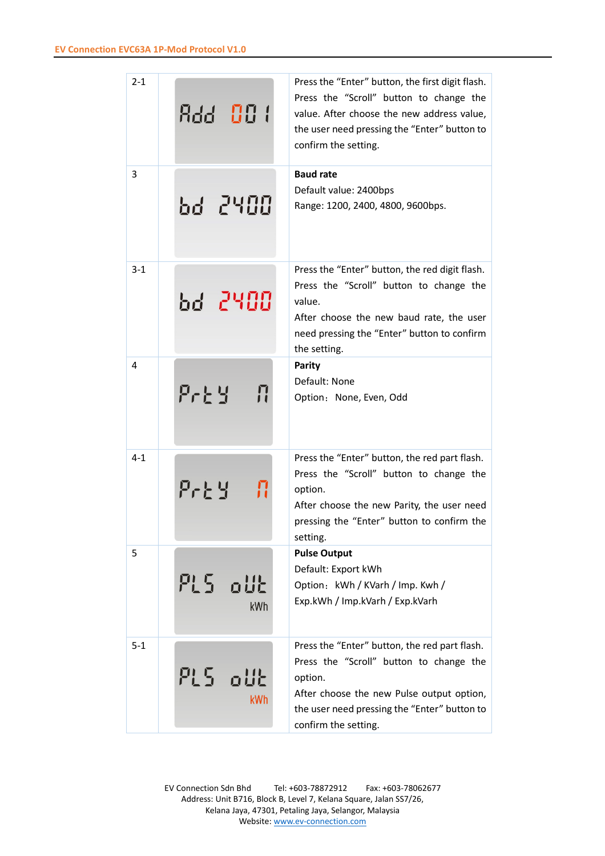| $2 - 1$ | 8dd 00 I               | Press the "Enter" button, the first digit flash.<br>Press the "Scroll" button to change the<br>value. After choose the new address value,<br>the user need pressing the "Enter" button to<br>confirm the setting.        |
|---------|------------------------|--------------------------------------------------------------------------------------------------------------------------------------------------------------------------------------------------------------------------|
| 3       | 6d 2400                | <b>Baud rate</b><br>Default value: 2400bps<br>Range: 1200, 2400, 4800, 9600bps.                                                                                                                                          |
| $3 - 1$ | 6d 2400                | Press the "Enter" button, the red digit flash.<br>Press the "Scroll" button to change the<br>value.<br>After choose the new baud rate, the user<br>need pressing the "Enter" button to confirm<br>the setting.           |
| 4       | ምራይ ሃገ<br>$\mathbf{R}$ | Parity<br>Default: None<br>Option: None, Even, Odd                                                                                                                                                                       |
| $4 - 1$ | ምራይሄ<br>П              | Press the "Enter" button, the red part flash.<br>Press the "Scroll" button to change the<br>option.<br>After choose the new Parity, the user need<br>pressing the "Enter" button to confirm the<br>setting.              |
| 5       | PLS aut<br>kWh         | <b>Pulse Output</b><br>Default: Export kWh<br>Option: kWh / KVarh / Imp. Kwh /<br>Exp.kWh / Imp.kVarh / Exp.kVarh                                                                                                        |
| $5 - 1$ | PLS oUL<br>kWh         | Press the "Enter" button, the red part flash.<br>Press the "Scroll" button to change the<br>option.<br>After choose the new Pulse output option,<br>the user need pressing the "Enter" button to<br>confirm the setting. |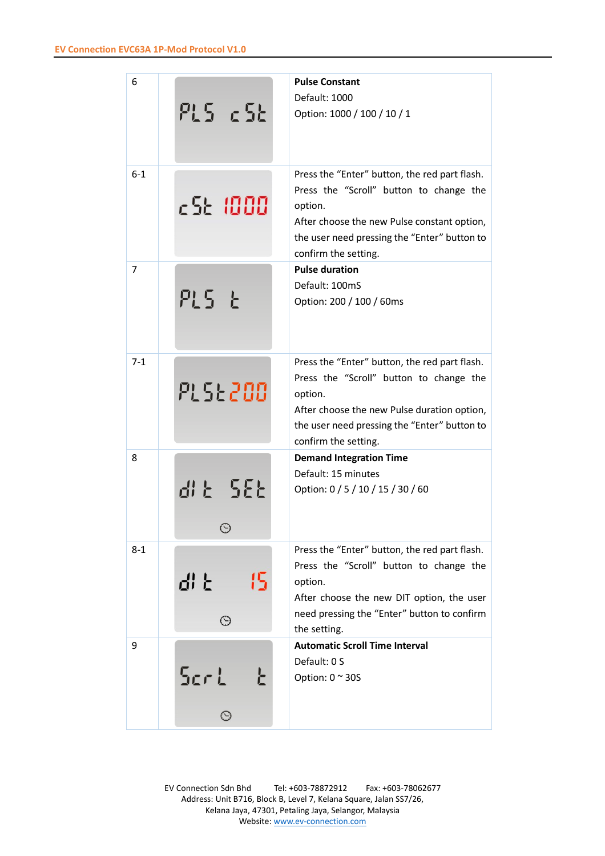| 6              | PLS c5E                     | <b>Pulse Constant</b><br>Default: 1000<br>Option: 1000 / 100 / 10 / 1                                                                                                                                                      |
|----------------|-----------------------------|----------------------------------------------------------------------------------------------------------------------------------------------------------------------------------------------------------------------------|
| $6-1$          | c5E 1000                    | Press the "Enter" button, the red part flash.<br>Press the "Scroll" button to change the<br>option.<br>After choose the new Pulse constant option,<br>the user need pressing the "Enter" button to<br>confirm the setting. |
| $\overline{7}$ | PL5 E                       | <b>Pulse duration</b><br>Default: 100mS<br>Option: 200 / 100 / 60ms                                                                                                                                                        |
| $7 - 1$        | <u> PLSE200</u>             | Press the "Enter" button, the red part flash.<br>Press the "Scroll" button to change the<br>option.<br>After choose the new Pulse duration option,<br>the user need pressing the "Enter" button to<br>confirm the setting. |
| 8              | al El 522                   | <b>Demand Integration Time</b><br>Default: 15 minutes<br>Option: 0 / 5 / 10 / 15 / 30 / 60                                                                                                                                 |
| $8 - 1$        | <u>이 다</u><br>15<br>$\odot$ | Press the "Enter" button, the red part flash.<br>Press the "Scroll" button to change the<br>option.<br>After choose the new DIT option, the user<br>need pressing the "Enter" button to confirm<br>the setting.            |
| 9              | Scri<br>Ł.<br>$\odot$       | <b>Automatic Scroll Time Interval</b><br>Default: 0 S<br>Option: $0 \sim 30S$                                                                                                                                              |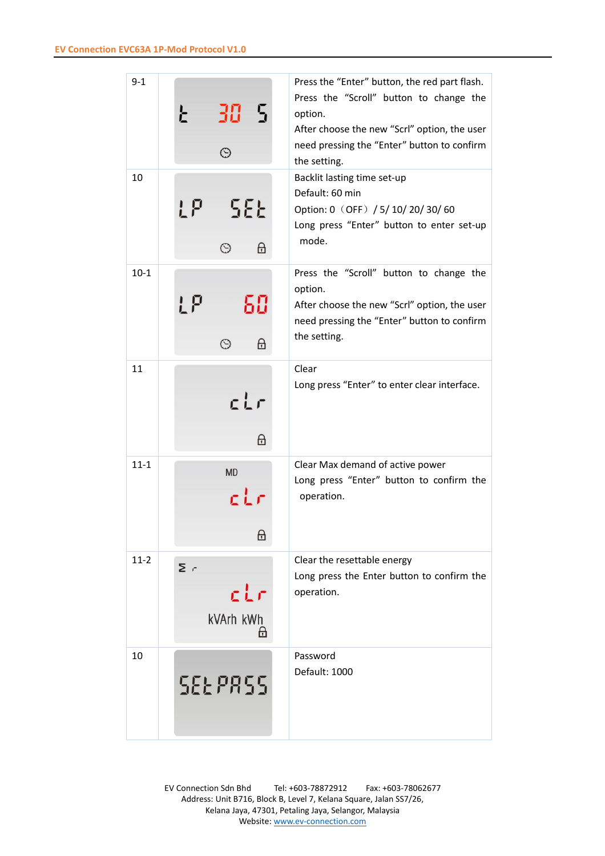| $9 - 1$  | 30 S<br>Ł.<br>$\odot$        | Press the "Enter" button, the red part flash.<br>Press the "Scroll" button to change the<br>option.<br>After choose the new "Scrl" option, the user<br>need pressing the "Enter" button to confirm<br>the setting. |
|----------|------------------------------|--------------------------------------------------------------------------------------------------------------------------------------------------------------------------------------------------------------------|
| 10       | LP 5EE<br>⊕<br>$\odot$       | Backlit lasting time set-up<br>Default: 60 min<br>Option: 0 (OFF) / 5/ 10/ 20/ 30/ 60<br>Long press "Enter" button to enter set-up<br>mode.                                                                        |
| $10-1$   | 60<br>LP<br>⊕<br>$\odot$     | Press the "Scroll" button to change the<br>option.<br>After choose the new "Scrl" option, the user<br>need pressing the "Enter" button to confirm<br>the setting.                                                  |
| 11       | cLr<br>6                     | Clear<br>Long press "Enter" to enter clear interface.                                                                                                                                                              |
| $11 - 1$ | <b>MD</b><br>⊕               | Clear Max demand of active power<br>Long press "Enter" button to confirm the<br>operation.                                                                                                                         |
| $11-2$   | $\Sigma$<br>cLr<br>kVArh kWh | Clear the resettable energy<br>Long press the Enter button to confirm the<br>operation.                                                                                                                            |
| 10       | 522 2855                     | Password<br>Default: 1000                                                                                                                                                                                          |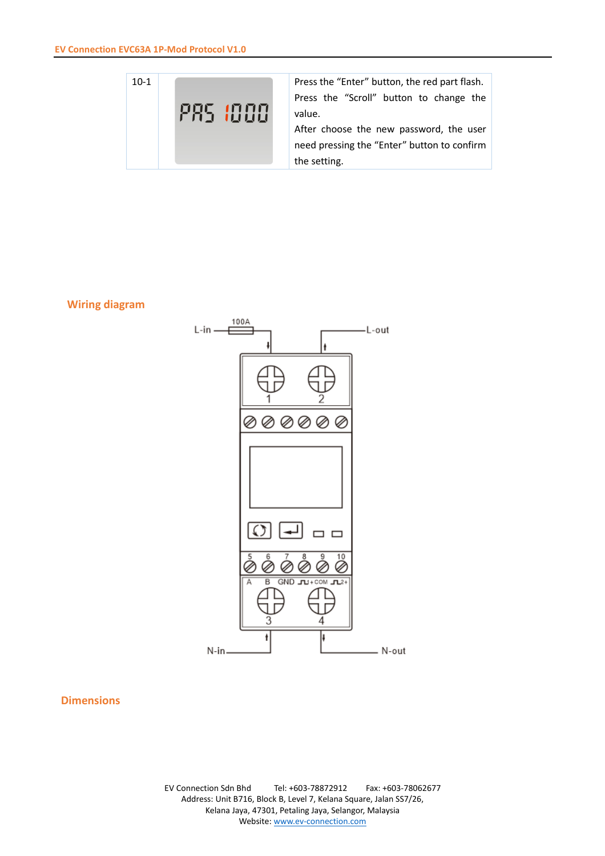

Press the "Scroll" button to change the

After choose the new password, the user need pressing the "Enter" button to confirm

**Wiring diagram** 



#### **Dimensions**